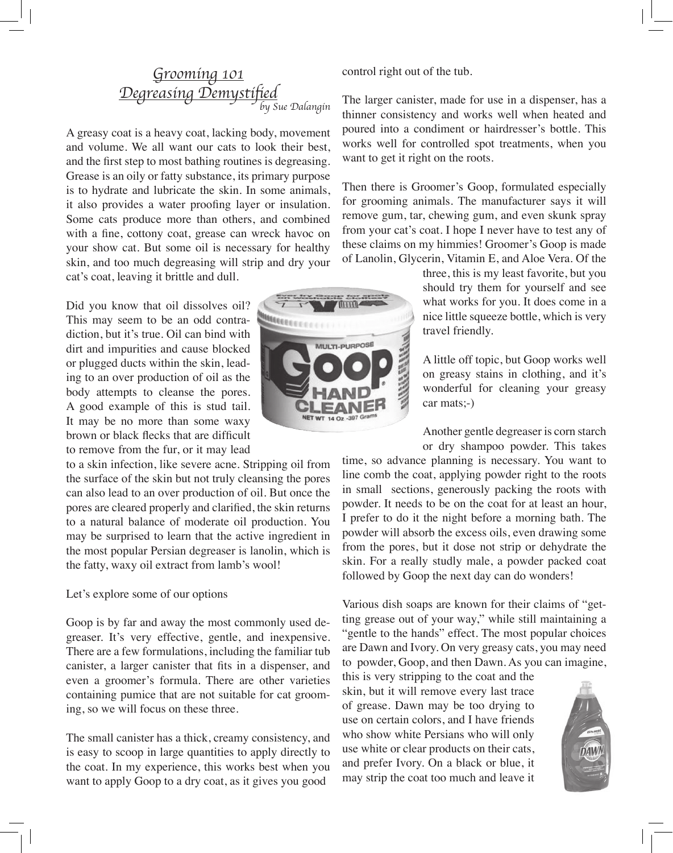# Grooming 101 Degreasing Demystified Sue Dalangin

A greasy coat is a heavy coat, lacking body, movement and volume. We all want our cats to look their best, and the first step to most bathing routines is degreasing. Grease is an oily or fatty substance, its primary purpose is to hydrate and lubricate the skin. In some animals, it also provides a water proofing layer or insulation. Some cats produce more than others, and combined with a fine, cottony coat, grease can wreck havoc on your show cat. But some oil is necessary for healthy skin, and too much degreasing will strip and dry your cat's coat, leaving it brittle and dull.

Did you know that oil dissolves oil? This may seem to be an odd contradiction, but it's true. Oil can bind with dirt and impurities and cause blocked or plugged ducts within the skin, leading to an over production of oil as the body attempts to cleanse the pores. A good example of this is stud tail. It may be no more than some waxy brown or black flecks that are difficult to remove from the fur, or it may lead

to a skin infection, like severe acne. Stripping oil from the surface of the skin but not truly cleansing the pores can also lead to an over production of oil. But once the pores are cleared properly and clarified, the skin returns to a natural balance of moderate oil production. You may be surprised to learn that the active ingredient in the most popular Persian degreaser is lanolin, which is the fatty, waxy oil extract from lamb's wool!

#### Let's explore some of our options

Goop is by far and away the most commonly used degreaser. It's very effective, gentle, and inexpensive. There are a few formulations, including the familiar tub canister, a larger canister that fits in a dispenser, and even a groomer's formula. There are other varieties containing pumice that are not suitable for cat grooming, so we will focus on these three.

The small canister has a thick, creamy consistency, and is easy to scoop in large quantities to apply directly to the coat. In my experience, this works best when you want to apply Goop to a dry coat, as it gives you good

control right out of the tub.

The larger canister, made for use in a dispenser, has a thinner consistency and works well when heated and poured into a condiment or hairdresser's bottle. This works well for controlled spot treatments, when you want to get it right on the roots.

Then there is Groomer's Goop, formulated especially for grooming animals. The manufacturer says it will remove gum, tar, chewing gum, and even skunk spray from your cat's coat. I hope I never have to test any of these claims on my himmies! Groomer's Goop is made of Lanolin, Glycerin, Vitamin E, and Aloe Vera. Of the

> three, this is my least favorite, but you should try them for yourself and see what works for you. It does come in a nice little squeeze bottle, which is very travel friendly.

A little off topic, but Goop works well on greasy stains in clothing, and it's wonderful for cleaning your greasy car mats;-)

Another gentle degreaser is corn starch or dry shampoo powder. This takes

time, so advance planning is necessary. You want to line comb the coat, applying powder right to the roots in small sections, generously packing the roots with powder. It needs to be on the coat for at least an hour, I prefer to do it the night before a morning bath. The powder will absorb the excess oils, even drawing some from the pores, but it dose not strip or dehydrate the skin. For a really studly male, a powder packed coat followed by Goop the next day can do wonders!

Various dish soaps are known for their claims of "getting grease out of your way," while still maintaining a "gentle to the hands" effect. The most popular choices are Dawn and Ivory. On very greasy cats, you may need to powder, Goop, and then Dawn. As you can imagine,

this is very stripping to the coat and the skin, but it will remove every last trace of grease. Dawn may be too drying to use on certain colors, and I have friends who show white Persians who will only use white or clear products on their cats, and prefer Ivory. On a black or blue, it may strip the coat too much and leave it